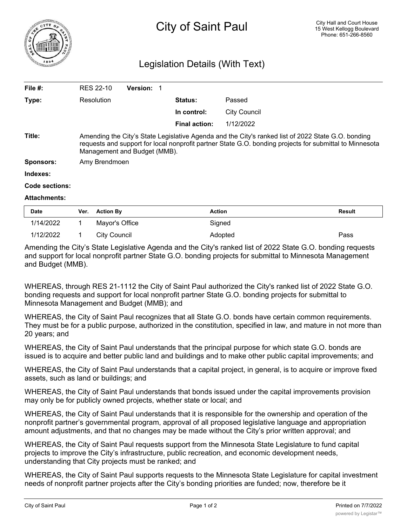

## Legislation Details (With Text)

| File $#$ :          | <b>RES 22-10</b>                                                                                                                                                                                                                              | <b>Version:</b> |                      |                     |  |  |
|---------------------|-----------------------------------------------------------------------------------------------------------------------------------------------------------------------------------------------------------------------------------------------|-----------------|----------------------|---------------------|--|--|
| Type:               | Resolution                                                                                                                                                                                                                                    |                 | <b>Status:</b>       | Passed              |  |  |
|                     |                                                                                                                                                                                                                                               |                 | In control:          | <b>City Council</b> |  |  |
|                     |                                                                                                                                                                                                                                               |                 | <b>Final action:</b> | 1/12/2022           |  |  |
| Title:              | Amending the City's State Legislative Agenda and the City's ranked list of 2022 State G.O. bonding<br>requests and support for local nonprofit partner State G.O. bonding projects for submittal to Minnesota<br>Management and Budget (MMB). |                 |                      |                     |  |  |
| Sponsors:           | Amy Brendmoen                                                                                                                                                                                                                                 |                 |                      |                     |  |  |
| Indexes:            |                                                                                                                                                                                                                                               |                 |                      |                     |  |  |
| Code sections:      |                                                                                                                                                                                                                                               |                 |                      |                     |  |  |
| <b>Attachments:</b> |                                                                                                                                                                                                                                               |                 |                      |                     |  |  |

| <b>Date</b> | Ver. Action By | <b>Action</b> | <b>Result</b> |
|-------------|----------------|---------------|---------------|
| 1/14/2022   | Mayor's Office | Signed        |               |
| 1/12/2022   | City Council   | Adopted       | Pass          |

Amending the City's State Legislative Agenda and the City's ranked list of 2022 State G.O. bonding requests and support for local nonprofit partner State G.O. bonding projects for submittal to Minnesota Management and Budget (MMB).

WHEREAS, through RES 21-1112 the City of Saint Paul authorized the City's ranked list of 2022 State G.O. bonding requests and support for local nonprofit partner State G.O. bonding projects for submittal to Minnesota Management and Budget (MMB); and

WHEREAS, the City of Saint Paul recognizes that all State G.O. bonds have certain common requirements. They must be for a public purpose, authorized in the constitution, specified in law, and mature in not more than 20 years; and

WHEREAS, the City of Saint Paul understands that the principal purpose for which state G.O. bonds are issued is to acquire and better public land and buildings and to make other public capital improvements; and

WHEREAS, the City of Saint Paul understands that a capital project, in general, is to acquire or improve fixed assets, such as land or buildings; and

WHEREAS, the City of Saint Paul understands that bonds issued under the capital improvements provision may only be for publicly owned projects, whether state or local; and

WHEREAS, the City of Saint Paul understands that it is responsible for the ownership and operation of the nonprofit partner's governmental program, approval of all proposed legislative language and appropriation amount adjustments, and that no changes may be made without the City's prior written approval; and

WHEREAS, the City of Saint Paul requests support from the Minnesota State Legislature to fund capital projects to improve the City's infrastructure, public recreation, and economic development needs, understanding that City projects must be ranked; and

WHEREAS, the City of Saint Paul supports requests to the Minnesota State Legislature for capital investment needs of nonprofit partner projects after the City's bonding priorities are funded; now, therefore be it